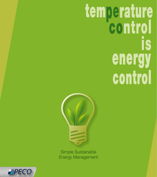# temperature **IS** energy control



**Simple Sustainable Energy Management** 

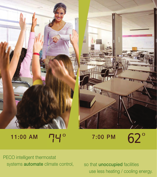



11:00 AM 74<sup>o</sup> 7:00 PM 62<sup>o</sup>

PECO intelligent thermostat systems **automate** climate control, so that **unoccupied** facilities

use less heating / cooling energy.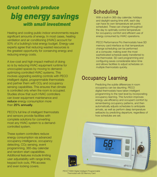### *Great controls produce big energy savings with small investment*

Heating and cooling public indoor environments require significant amounts of energy. In most cases, heating ventilation and air conditioning (HVAC) account for 50% of a building's total energy budget. Energy-use experts agree that reducing wasted resources is the greatest opportunity for conserving energy and reducing energy costs.

A low-cost and high-impact method of doing so is by reducing HVAC equipment runtime for unoccupied spaces by moving to demandoptimizing controlled HVAC systems. This involves upgrading existing controls with PECO intelligent digital, programmable thermostats and partner them with CO<sub>2</sub> and occupancy sensing capabilities. This ensures that climate is controlled only when the room is occupied. Studies show that such HVAC controllers can lower equipment maintenance and reduce energy consumption more than 25% annually.

PECO's full line of intelligent thermostats and sensors provide facilities with complete solutions for converting most any HVAC system to a demandcontrolled system.

These system controllers reduce energy consumption via advanced occupancy intelligence, occupancy detecting, CO<sub>2</sub> sensing, event programming, 365-day calendar and random start capabilities. Additional features include limiting user adjustability with range limits, keypad lock outs, PIN access and even locking covers.

#### **Scheduling**

With a built-in 365-day calendar, holidays and daylight-saving time shift, each day can have its own temperature set points scheduled. These can change throughout the day to optimally control temperature for occupancy comfort and efficient use of energy consumed by HVAC operations.

PECO Performance Pro thermostats have SD memory card interface so that temperature change scheduling can be performed at a computer, making even the most sophisticated schedule easily transferred to the thermostat. SD card programming and configuring saves considerable labor-time and allows facilities to adjust schedules on multiple thermostats quickly.

#### Occupancy Learning

Predicting the subtle differences in room occupancy can be daunting. PECO digital thermostats have taken intelligent programming to the next level by incorporating occupancy learning. This function improves energy use efficiency and occupant comfort by remembering occupancy patterns, and then automatically adjusts schedules to anticipate arrivals, as well as perform deep temperature setbacks by predicting departure, regardless of how schedules are set.

EPECO

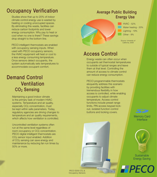#### Occupancy Verification

Studies show that up to 20% of indoor climate control energy use is wasted by heating or cooling unoccupied spaces. By eliminating this waste, facilities can reduce carbon footprints and lower energy consumption. Why pay to heat or cool when no one is there? These savings drop straight to the bottom line.

PECO intelligent thermostats are enabled with occupancy sensing inputs. When used with PECO occupancy sensors, the HVAC equipment will heat or cool to a less energy consuming temperature. Once sensors detect occupants, the system automatically sets temperatures to accommodate occupant comfort.

#### Ventilation CO<sub>2</sub> Sensing Demand Control

Maintaining a good indoor climate is the primary task of modern HVAC systems. Temperature and air quality, especially CO<sub>2</sub> concentration, must be kept within safe parameters. Today, regulatory agencies are driving changes to temperature and air quality requirements, which affects how ventilation is controlled.

Uncontrolled ventilation systems often run at the same level regardless of room occupancy or CO<sub>2</sub> concentration. PECO digital intelligent thermostats are CO2 sensor input enabled. Addition of CO2 sensing can save energy and maintenance by reducing fan run times by 50% or more.

#### Average Public Building Energy Use



#### Access Control

Energy waste can often occur when occupants set thermostat temperatures to outside of typical ranges and leave them at that level. Controlling the amount of access to climate control can reduce energy consumption.

PECO programmable thermostats eloquently address this scenario by providing facilities with tremendous flexibility in how access is controlled, while enabling occupants to adjust climate temperature. Access control functions include preset range limits, PIN access keypad lockout, isolated function control buttons and locking covers.

> Memory Card Interface



**Sustainable** Energy Saving



**PECO S200 CO<sub>2</sub> &** Occupancy Sensors